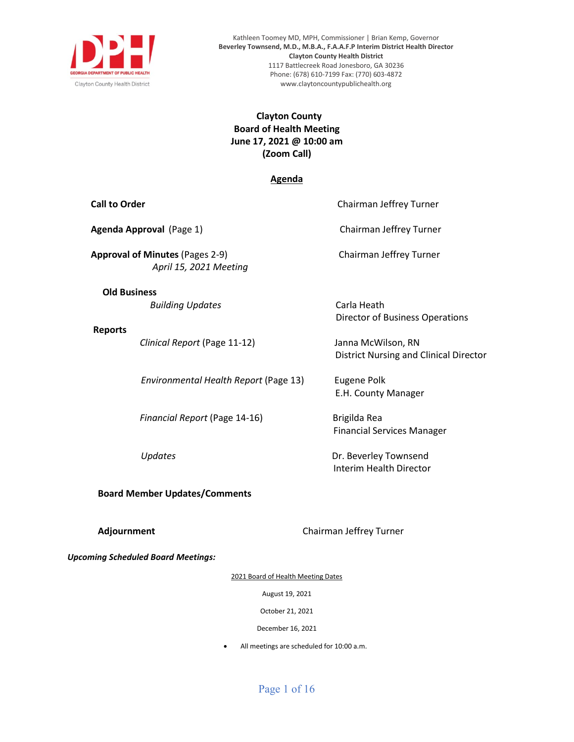

Kathleen Toomey MD, MPH, Commissioner | Brian Kemp, Governor **Beverley Townsend, M.D., M.B.A., F.A.A.F.P Interim District Health Director Clayton County Health District** 1117 Battlecreek Road Jonesboro, GA 30236 Phone: (678) 610-7199 Fax: (770) 603-4872 www.claytoncountypublichealth.org

# **Clayton County Board of Health Meeting June 17, 2021 @ 10:00 am (Zoom Call)**

### **Agenda**

| <b>Call to Order</b> |                                                                  | Chairman Jeffrey Turner                                             |
|----------------------|------------------------------------------------------------------|---------------------------------------------------------------------|
|                      | Agenda Approval (Page 1)                                         | Chairman Jeffrey Turner                                             |
|                      | <b>Approval of Minutes (Pages 2-9)</b><br>April 15, 2021 Meeting | Chairman Jeffrey Turner                                             |
|                      | <b>Old Business</b><br><b>Building Updates</b>                   | Carla Heath<br><b>Director of Business Operations</b>               |
| <b>Reports</b>       | Clinical Report (Page 11-12)                                     | Janna McWilson, RN<br><b>District Nursing and Clinical Director</b> |
|                      | Environmental Health Report (Page 13)                            | Eugene Polk<br>E.H. County Manager                                  |
|                      | Financial Report (Page 14-16)                                    | Brigilda Rea<br><b>Financial Services Manager</b>                   |
|                      | Updates                                                          | Dr. Beverley Townsend<br>Interim Health Director                    |
|                      | <b>Board Member Updates/Comments</b>                             |                                                                     |

**Adjournment Adjournment Chairman Jeffrey Turner** 

*Upcoming Scheduled Board Meetings:* 

2021 Board of Health Meeting Dates

August 19, 2021

October 21, 2021

December 16, 2021

• All meetings are scheduled for 10:00 a.m.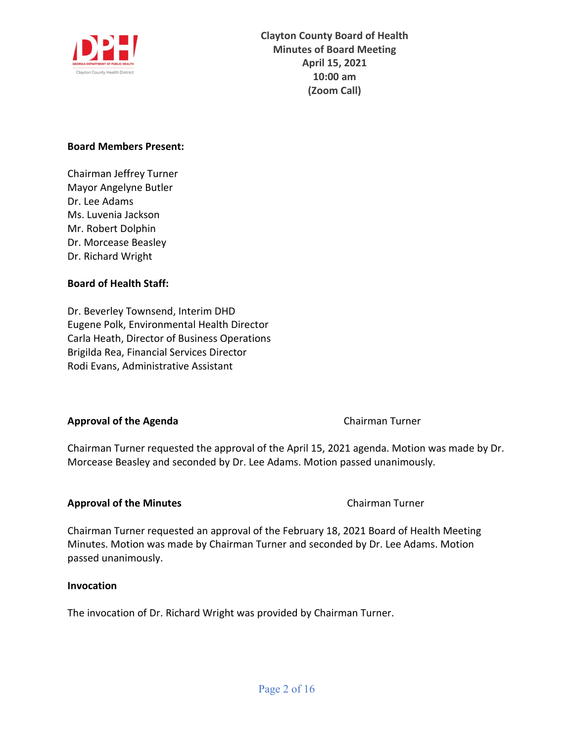

# **Board Members Present:**

Chairman Jeffrey Turner Mayor Angelyne Butler Dr. Lee Adams Ms. Luvenia Jackson Mr. Robert Dolphin Dr. Morcease Beasley Dr. Richard Wright

# **Board of Health Staff:**

Dr. Beverley Townsend, Interim DHD Eugene Polk, Environmental Health Director Carla Heath, Director of Business Operations Brigilda Rea, Financial Services Director Rodi Evans, Administrative Assistant

# **Approval of the Agenda Chairman Turner Chairman Turner**

Chairman Turner requested the approval of the April 15, 2021 agenda. Motion was made by Dr. Morcease Beasley and seconded by Dr. Lee Adams. Motion passed unanimously.

# **Approval of the Minutes Chairman Turner**

Chairman Turner requested an approval of the February 18, 2021 Board of Health Meeting Minutes. Motion was made by Chairman Turner and seconded by Dr. Lee Adams. Motion passed unanimously.

# **Invocation**

The invocation of Dr. Richard Wright was provided by Chairman Turner.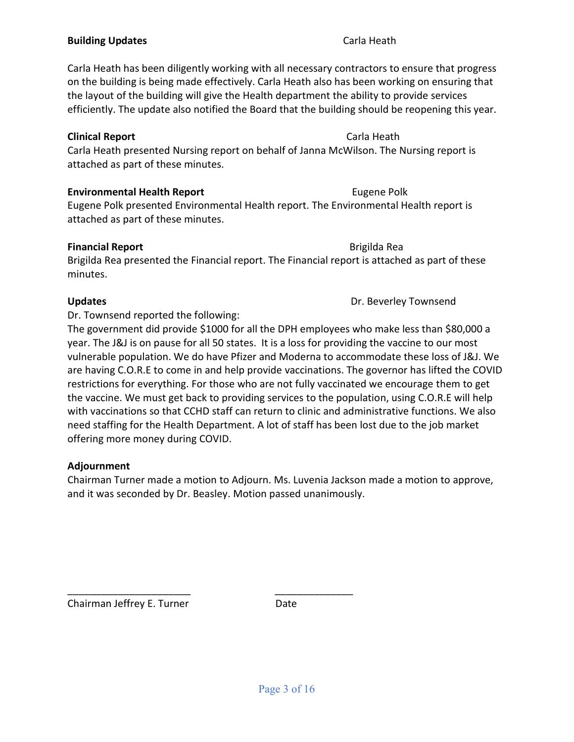# **Building Updates Carla Heath**

Carla Heath has been diligently working with all necessary contractors to ensure that progress on the building is being made effectively. Carla Heath also has been working on ensuring that the layout of the building will give the Health department the ability to provide services efficiently. The update also notified the Board that the building should be reopening this year.

# **Clinical Report** Carla Heath

Carla Heath presented Nursing report on behalf of Janna McWilson. The Nursing report is attached as part of these minutes.

# **Environmental Health Report Eugene Polk**

Eugene Polk presented Environmental Health report. The Environmental Health report is attached as part of these minutes.

# **Financial Report** Brigilda Rea

Brigilda Rea presented the Financial report. The Financial report is attached as part of these minutes.

Dr. Townsend reported the following:

The government did provide \$1000 for all the DPH employees who make less than \$80,000 a year. The J&J is on pause for all 50 states. It is a loss for providing the vaccine to our most vulnerable population. We do have Pfizer and Moderna to accommodate these loss of J&J. We are having C.O.R.E to come in and help provide vaccinations. The governor has lifted the COVID restrictions for everything. For those who are not fully vaccinated we encourage them to get the vaccine. We must get back to providing services to the population, using C.O.R.E will help with vaccinations so that CCHD staff can return to clinic and administrative functions. We also need staffing for the Health Department. A lot of staff has been lost due to the job market offering more money during COVID.

# **Adjournment**

Chairman Turner made a motion to Adjourn. Ms. Luvenia Jackson made a motion to approve, and it was seconded by Dr. Beasley. Motion passed unanimously.

\_\_\_\_\_\_\_\_\_\_\_\_\_\_\_\_\_\_\_\_\_\_ \_\_\_\_\_\_\_\_\_\_\_\_\_\_ Chairman Jeffrey E. Turner **Date** 

**Updates Dr. Beverley Townsend**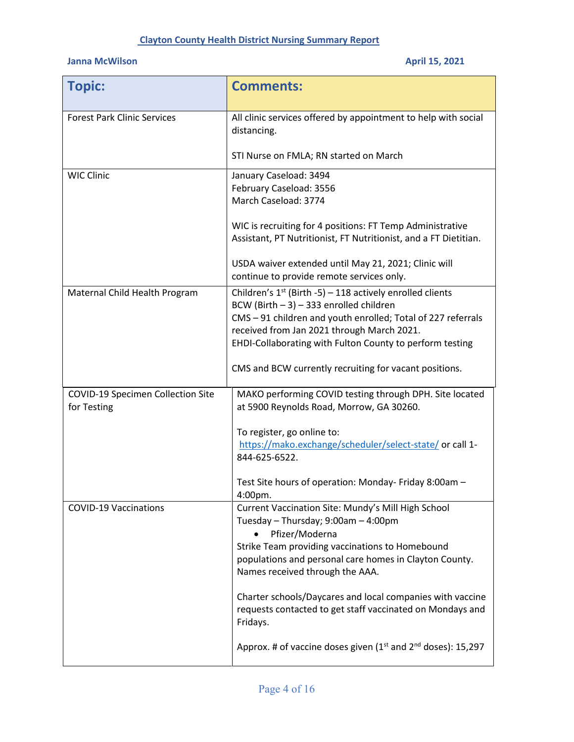# **Clayton County Health District Nursing Summary Report**

# **Janna McWilson April 15, 2021**

| <b>Topic:</b>                                    | <b>Comments:</b>                                                                                                                                                                                                                                                                                                                              |
|--------------------------------------------------|-----------------------------------------------------------------------------------------------------------------------------------------------------------------------------------------------------------------------------------------------------------------------------------------------------------------------------------------------|
| <b>Forest Park Clinic Services</b>               | All clinic services offered by appointment to help with social<br>distancing.                                                                                                                                                                                                                                                                 |
|                                                  | STI Nurse on FMLA; RN started on March                                                                                                                                                                                                                                                                                                        |
| <b>WIC Clinic</b>                                | January Caseload: 3494<br>February Caseload: 3556<br>March Caseload: 3774                                                                                                                                                                                                                                                                     |
|                                                  | WIC is recruiting for 4 positions: FT Temp Administrative<br>Assistant, PT Nutritionist, FT Nutritionist, and a FT Dietitian.                                                                                                                                                                                                                 |
|                                                  | USDA waiver extended until May 21, 2021; Clinic will<br>continue to provide remote services only.                                                                                                                                                                                                                                             |
| Maternal Child Health Program                    | Children's $1st$ (Birth -5) – 118 actively enrolled clients<br>BCW (Birth $-3$ ) $-333$ enrolled children<br>CMS - 91 children and youth enrolled; Total of 227 referrals<br>received from Jan 2021 through March 2021.<br>EHDI-Collaborating with Fulton County to perform testing<br>CMS and BCW currently recruiting for vacant positions. |
| COVID-19 Specimen Collection Site<br>for Testing | MAKO performing COVID testing through DPH. Site located<br>at 5900 Reynolds Road, Morrow, GA 30260.                                                                                                                                                                                                                                           |
|                                                  | To register, go online to:<br>https://mako.exchange/scheduler/select-state/ or call 1-<br>844-625-6522.                                                                                                                                                                                                                                       |
|                                                  | Test Site hours of operation: Monday- Friday 8:00am -<br>4:00pm.                                                                                                                                                                                                                                                                              |
| <b>COVID-19 Vaccinations</b>                     | Current Vaccination Site: Mundy's Mill High School<br>Tuesday - Thursday; 9:00am - 4:00pm<br>Pfizer/Moderna<br>Strike Team providing vaccinations to Homebound<br>populations and personal care homes in Clayton County.<br>Names received through the AAA.                                                                                   |
|                                                  | Charter schools/Daycares and local companies with vaccine<br>requests contacted to get staff vaccinated on Mondays and<br>Fridays.                                                                                                                                                                                                            |
|                                                  | Approx. # of vaccine doses given $(1^{st}$ and $2^{nd}$ doses): 15,297                                                                                                                                                                                                                                                                        |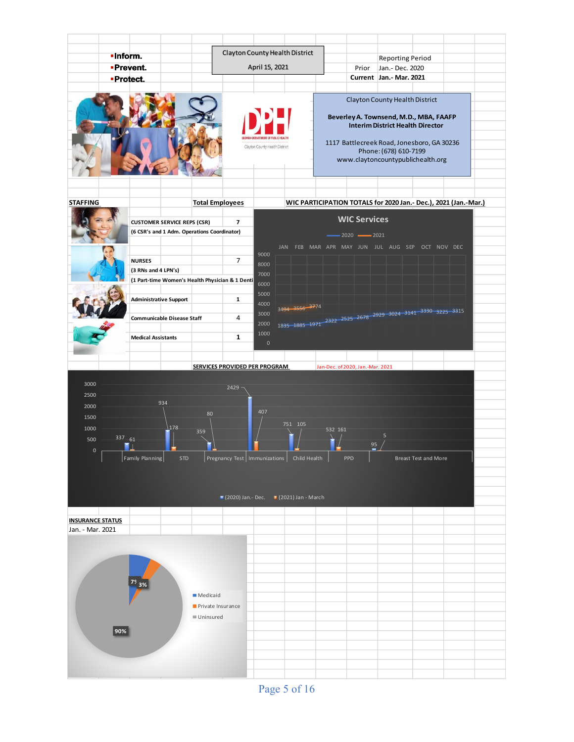

Page 5 of 16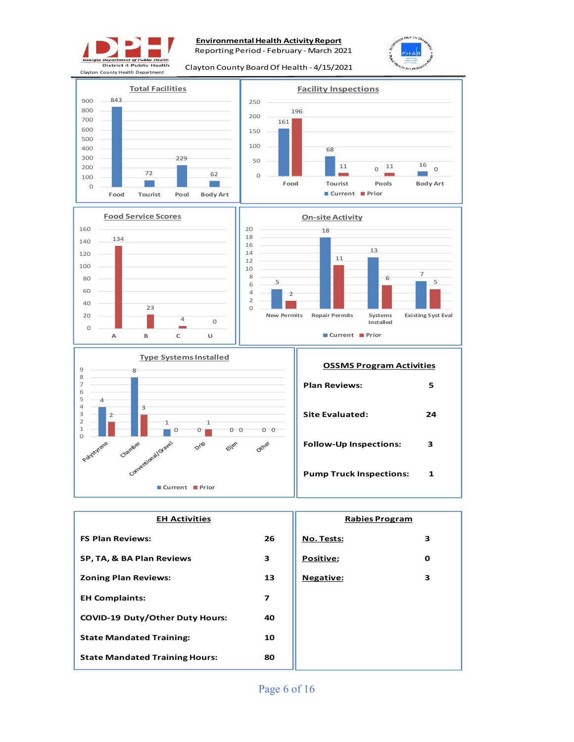

### **Environmental Health Activity Report**

Reporting Period - February - March 2021

Clayton County Board Of Health - 4/15/2021









| <b>EH Activities</b>                   | <b>Rabies Program</b> |                  |   |
|----------------------------------------|-----------------------|------------------|---|
| <b>FS Plan Reviews:</b>                | 26                    | No. Tests:       | 3 |
| SP, TA, & BA Plan Reviews              | 3                     | Positive:        | О |
| <b>Zoning Plan Reviews:</b>            | 13                    | <b>Negative:</b> | 3 |
| <b>EH Complaints:</b>                  | 7                     |                  |   |
| <b>COVID-19 Duty/Other Duty Hours:</b> | 40                    |                  |   |
| <b>State Mandated Training:</b>        | 10                    |                  |   |
| <b>State Mandated Training Hours:</b>  | 80                    |                  |   |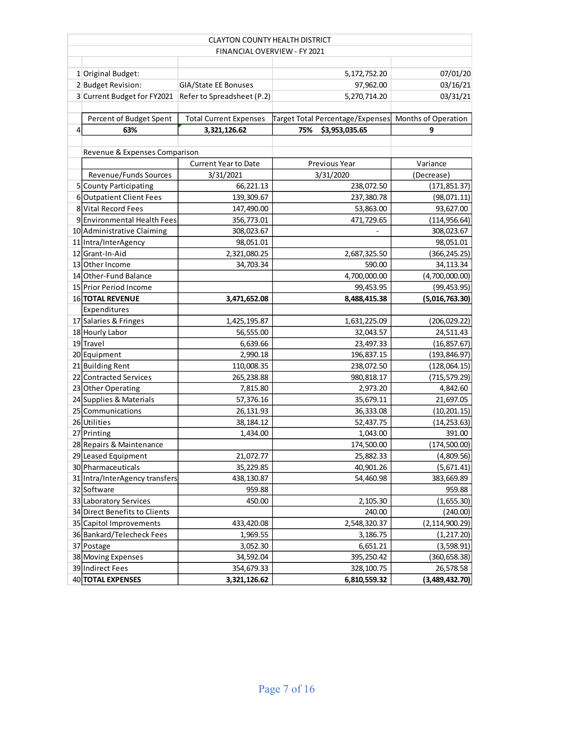|                | <b>CLAYTON COUNTY HEALTH DISTRICT</b>                  |                               |                                                      |                  |  |  |  |  |
|----------------|--------------------------------------------------------|-------------------------------|------------------------------------------------------|------------------|--|--|--|--|
|                | FINANCIAL OVERVIEW - FY 2021                           |                               |                                                      |                  |  |  |  |  |
|                |                                                        |                               |                                                      |                  |  |  |  |  |
|                | 1 Original Budget:                                     |                               | 5,172,752.20                                         | 07/01/20         |  |  |  |  |
|                | 2 Budget Revision:                                     | GIA/State EE Bonuses          | 97,962.00                                            | 03/16/21         |  |  |  |  |
|                | 3 Current Budget for FY2021 Refer to Spreadsheet (P.2) |                               | 5,270,714.20                                         | 03/31/21         |  |  |  |  |
|                |                                                        |                               |                                                      |                  |  |  |  |  |
|                | Percent of Budget Spent                                | <b>Total Current Expenses</b> | Target Total Percentage/Expenses Months of Operation |                  |  |  |  |  |
| $\overline{4}$ | 63%                                                    | 3,321,126.62                  | \$3,953,035.65<br>75%                                | 9                |  |  |  |  |
|                |                                                        |                               |                                                      |                  |  |  |  |  |
|                | Revenue & Expenses Comparison                          |                               |                                                      |                  |  |  |  |  |
|                |                                                        | <b>Current Year to Date</b>   | Previous Year                                        | Variance         |  |  |  |  |
|                | Revenue/Funds Sources                                  | 3/31/2021                     | 3/31/2020                                            | (Decrease)       |  |  |  |  |
|                | 5 County Participating                                 | 66,221.13                     | 238,072.50                                           | (171, 851.37)    |  |  |  |  |
|                | 6 Outpatient Client Fees                               | 139,309.67                    | 237,380.78                                           | (98,071.11)      |  |  |  |  |
|                | 8 Vital Record Fees                                    | 147,490.00                    | 53,863.00                                            | 93,627.00        |  |  |  |  |
|                | 9 Environmental Health Fees                            | 356,773.01                    | 471,729.65                                           | (114, 956.64)    |  |  |  |  |
|                | 10 Administrative Claiming                             | 308,023.67                    |                                                      | 308,023.67       |  |  |  |  |
|                | 11 Intra/InterAgency                                   | 98,051.01                     |                                                      | 98,051.01        |  |  |  |  |
|                | 12 Grant-In-Aid                                        | 2,321,080.25                  | 2,687,325.50                                         | (366, 245.25)    |  |  |  |  |
|                | 13 Other Income                                        | 34,703.34                     | 590.00                                               | 34,113.34        |  |  |  |  |
|                | 14 Other-Fund Balance                                  |                               | 4,700,000.00                                         | (4,700,000.00)   |  |  |  |  |
|                | 15 Prior Period Income                                 |                               | 99,453.95                                            | (99, 453.95)     |  |  |  |  |
|                | 16 TOTAL REVENUE                                       | 3,471,652.08                  | 8,488,415.38                                         | (5,016,763.30)   |  |  |  |  |
|                | Expenditures                                           |                               |                                                      |                  |  |  |  |  |
|                | 17 Salaries & Fringes                                  | 1,425,195.87                  |                                                      | (206, 029.22)    |  |  |  |  |
|                | 18 Hourly Labor                                        | 56,555.00                     | 32,043.57                                            | 24,511.43        |  |  |  |  |
|                | 19 Travel                                              | 6,639.66                      | 23,497.33                                            | (16, 857.67)     |  |  |  |  |
|                | 20 Equipment                                           | 2,990.18                      | 196,837.15                                           | (193, 846.97)    |  |  |  |  |
|                | 21 Building Rent                                       | 110,008.35                    | 238,072.50                                           | (128,064.15)     |  |  |  |  |
|                | 22 Contracted Services                                 | 265,238.88                    | 980,818.17                                           | (715, 579.29)    |  |  |  |  |
|                | 23 Other Operating                                     | 7,815.80                      | 2,973.20                                             | 4,842.60         |  |  |  |  |
|                | 24 Supplies & Materials                                | 57,376.16                     | 35,679.11                                            | 21,697.05        |  |  |  |  |
|                | 25 Communications                                      | 26,131.93                     | 36,333.08                                            | (10, 201.15)     |  |  |  |  |
|                | 26 Utilities                                           | 38,184.12                     | 52,437.75                                            | (14, 253.63)     |  |  |  |  |
|                | 27 Printing                                            | 1,434.00                      | 1,043.00                                             | 391.00           |  |  |  |  |
|                | 28 Repairs & Maintenance                               |                               | 174,500.00                                           | (174, 500.00)    |  |  |  |  |
|                | 29 Leased Equipment                                    | 21,072.77                     | 25,882.33                                            | (4,809.56)       |  |  |  |  |
|                | 30 Pharmaceuticals                                     | 35,229.85                     | 40,901.26                                            | (5,671.41)       |  |  |  |  |
|                | 31 Intra/InterAgency transfers                         | 438,130.87                    | 54,460.98                                            | 383,669.89       |  |  |  |  |
|                | 32 Software                                            | 959.88                        |                                                      | 959.88           |  |  |  |  |
|                | 33 Laboratory Services                                 | 450.00                        | 2,105.30                                             | (1,655.30)       |  |  |  |  |
|                | 34 Direct Benefits to Clients                          |                               | 240.00                                               | (240.00)         |  |  |  |  |
|                | 35 Capitol Improvements                                | 433,420.08                    | 2,548,320.37                                         | (2, 114, 900.29) |  |  |  |  |
|                | 36 Bankard/Telecheck Fees                              | 1,969.55                      | 3,186.75                                             | (1, 217.20)      |  |  |  |  |
|                | 37 Postage                                             | 3,052.30                      | 6,651.21                                             | (3,598.91)       |  |  |  |  |
|                | 38 Moving Expenses                                     | 34,592.04                     | 395,250.42                                           | (360, 658.38)    |  |  |  |  |
|                | 39 Indirect Fees                                       | 354,679.33                    | 328,100.75                                           | 26,578.58        |  |  |  |  |
|                | 40 TOTAL EXPENSES                                      | 3,321,126.62                  | 6,810,559.32                                         | (3,489,432.70)   |  |  |  |  |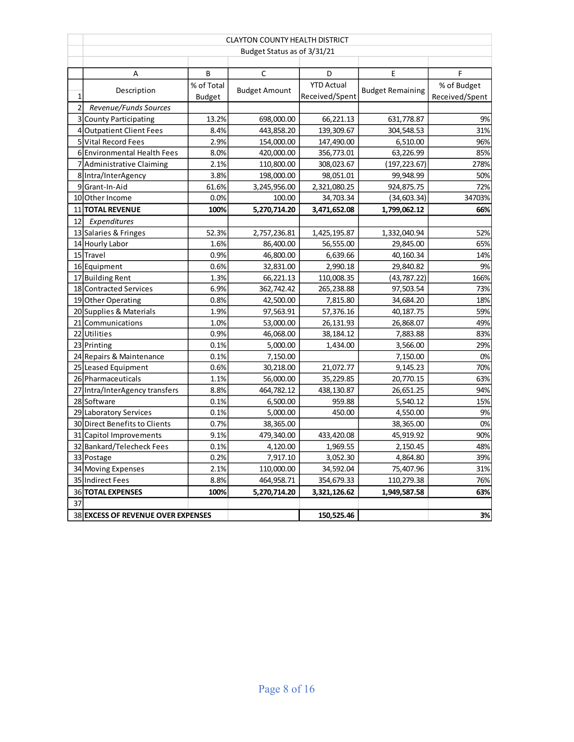|                | <b>CLAYTON COUNTY HEALTH DISTRICT</b> |               |                      |                   |                         |                |  |
|----------------|---------------------------------------|---------------|----------------------|-------------------|-------------------------|----------------|--|
|                | Budget Status as of 3/31/21           |               |                      |                   |                         |                |  |
|                |                                       |               |                      |                   |                         |                |  |
|                | Α                                     | В             | С                    | D                 | Ε                       | F              |  |
|                | Description                           | % of Total    | <b>Budget Amount</b> | <b>YTD Actual</b> | <b>Budget Remaining</b> | % of Budget    |  |
| $\mathbf{1}$   |                                       | <b>Budget</b> |                      | Received/Spent    |                         | Received/Spent |  |
| $\overline{2}$ | Revenue/Funds Sources                 |               |                      |                   |                         |                |  |
|                | 3 County Participating                | 13.2%         | 698,000.00           | 66,221.13         | 631,778.87              | 9%             |  |
|                | 4 Outpatient Client Fees              | 8.4%          | 443,858.20           | 139,309.67        | 304,548.53              | 31%            |  |
|                | 5 Vital Record Fees                   | 2.9%          | 154,000.00           | 147,490.00        | 6,510.00                | 96%            |  |
|                | 6 Environmental Health Fees           | 8.0%          | 420,000.00           | 356,773.01        | 63,226.99               | 85%            |  |
|                | 7 Administrative Claiming             | 2.1%          | 110,800.00           | 308,023.67        | (197, 223.67)           | 278%           |  |
|                | 8 Intra/InterAgency                   | 3.8%          | 198,000.00           | 98,051.01         | 99,948.99               | 50%            |  |
|                | 9 Grant-In-Aid                        | 61.6%         | 3,245,956.00         | 2,321,080.25      | 924,875.75              | 72%            |  |
|                | 10 Other Income                       | 0.0%          | 100.00               | 34,703.34         | (34, 603.34)            | 34703%         |  |
|                | 11 TOTAL REVENUE                      | 100%          | 5,270,714.20         | 3,471,652.08      | 1,799,062.12            | 66%            |  |
| 12             | Expenditures                          |               |                      |                   |                         |                |  |
|                | 13 Salaries & Fringes                 | 52.3%         | 2,757,236.81         | 1,425,195.87      | 1,332,040.94            | 52%            |  |
|                | 14 Hourly Labor                       | 1.6%          | 86,400.00            | 56,555.00         | 29,845.00               | 65%            |  |
|                | 15 Travel                             | 0.9%          | 46,800.00            | 6,639.66          | 40,160.34               | 14%            |  |
|                | 16 Equipment                          | 0.6%          | 32,831.00            | 2,990.18          | 29,840.82               | 9%             |  |
|                | 17 Building Rent                      | 1.3%          | 66,221.13            | 110,008.35        | (43, 787.22)            | 166%           |  |
|                | 18 Contracted Services                | 6.9%          | 362,742.42           | 265,238.88        | 97,503.54               | 73%            |  |
|                | 19 Other Operating                    | 0.8%          | 42,500.00            | 7,815.80          | 34,684.20               | 18%            |  |
|                | 20 Supplies & Materials               | 1.9%          | 97,563.91            | 57,376.16         | 40,187.75               | 59%            |  |
|                | 21 Communications                     | 1.0%          | 53,000.00            | 26,131.93         | 26,868.07               | 49%            |  |
|                | 22 Utilities                          | 0.9%          | 46,068.00            | 38,184.12         | 7,883.88                | 83%            |  |
|                | 23 Printing                           | 0.1%          | 5,000.00             | 1,434.00          | 3,566.00                | 29%            |  |
|                | 24 Repairs & Maintenance              | 0.1%          | 7,150.00             |                   | 7,150.00                | 0%             |  |
|                | 25 Leased Equipment                   | 0.6%          | 30,218.00            | 21,072.77         | 9,145.23                | 70%            |  |
|                | 26 Pharmaceuticals                    | 1.1%          | 56,000.00            | 35,229.85         | 20,770.15               | 63%            |  |
|                | 27 Intra/InterAgency transfers        | 8.8%          | 464,782.12           | 438,130.87        | 26,651.25               | 94%            |  |
|                | 28 Software                           | 0.1%          | 6,500.00             | 959.88            | 5,540.12                | 15%            |  |
|                | 29 Laboratory Services                | 0.1%          | 5,000.00             | 450.00            | 4,550.00                | 9%             |  |
|                | 30 Direct Benefits to Clients         | 0.7%          | 38,365.00            |                   | 38,365.00               | 0%             |  |
|                | 31 Capitol Improvements               | 9.1%          | 479,340.00           | 433,420.08        | 45,919.92               | 90%            |  |
|                | 32 Bankard/Telecheck Fees             | 0.1%          | 4,120.00             | 1,969.55          | 2,150.45                | 48%            |  |
|                | 33 Postage                            | 0.2%          | 7,917.10             | 3,052.30          | 4,864.80                | 39%            |  |
|                | 34 Moving Expenses                    | 2.1%          | 110,000.00           | 34,592.04         | 75,407.96               | 31%            |  |
|                | 35 Indirect Fees                      | 8.8%          | 464,958.71           | 354,679.33        | 110,279.38              | 76%            |  |
|                | <b>36 TOTAL EXPENSES</b>              | 100%          | 5,270,714.20         | 3,321,126.62      | 1,949,587.58            | 63%            |  |
| 37             |                                       |               |                      |                   |                         |                |  |
|                | 38 EXCESS OF REVENUE OVER EXPENSES    |               |                      | 150,525.46        |                         | 3%             |  |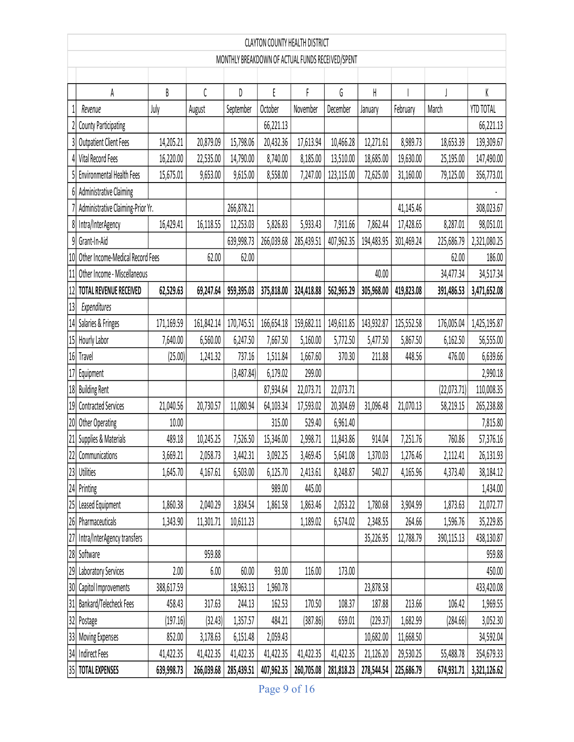|        | <b>CLAYTON COUNTY HEALTH DISTRICT</b>            |            |            |            |            |            |            |            |            |             |              |
|--------|--------------------------------------------------|------------|------------|------------|------------|------------|------------|------------|------------|-------------|--------------|
|        | MONTHLY BREAKDOWN OF ACTUAL FUNDS RECEIVED/SPENT |            |            |            |            |            |            |            |            |             |              |
|        |                                                  |            |            |            |            |            |            |            |            |             |              |
|        | A                                                | B          | C          | D          | E          | F          | G          | H          |            |             | K            |
|        | Revenue                                          | July       | August     | September  | October    | November   | December   | January    | February   | March       | YTD TOTAL    |
|        | <b>County Participating</b>                      |            |            |            | 66,221.13  |            |            |            |            |             | 66,221.13    |
| 3      | <b>Outpatient Client Fees</b>                    | 14,205.21  | 20,879.09  | 15,798.06  | 20,432.36  | 17,613.94  | 10,466.28  | 12,271.61  | 8,989.73   | 18,653.39   | 139,309.67   |
| 4      | Vital Record Fees                                | 16,220.00  | 22,535.00  | 14,790.00  | 8,740.00   | 8,185.00   | 13,510.00  | 18,685.00  | 19,630.00  | 25,195.00   | 147,490.00   |
| 5      | Environmental Health Fees                        | 15,675.01  | 9,653.00   | 9,615.00   | 8,558.00   | 7,247.00   | 123,115.00 | 72,625.00  | 31,160.00  | 79,125.00   | 356,773.01   |
| 61     | Administrative Claiming                          |            |            |            |            |            |            |            |            |             |              |
|        | Administrative Claiming-Prior Yr.                |            |            | 266,878.21 |            |            |            |            | 41,145.46  |             | 308,023.67   |
| 8      | Intra/InterAgency                                | 16,429.41  | 16,118.55  | 12,253.03  | 5,826.83   | 5,933.43   | 7,911.66   | 7,862.44   | 17,428.65  | 8,287.01    | 98,051.01    |
| 9      | Grant-In-Aid                                     |            |            | 639,998.73 | 266,039.68 | 285,439.51 | 407,962.35 | 194,483.95 | 301,469.24 | 225,686.79  | 2,321,080.25 |
| 10     | Other Income-Medical Record Fees                 |            | 62.00      | 62.00      |            |            |            |            |            | 62.00       | 186.00       |
| 11     | Other Income - Miscellaneous                     |            |            |            |            |            |            | 40.00      |            | 34,477.34   | 34,517.34    |
| 12     | TOTAL REVENUE RECEIVED                           | 62,529.63  | 69,247.64  | 959,395.03 | 375,818.00 | 324,418.88 | 562,965.29 | 305,968.00 | 419,823.08 | 391,486.53  | 3,471,652.08 |
| 13     | Expenditures                                     |            |            |            |            |            |            |            |            |             |              |
| $14\,$ | Salaries & Fringes                               | 171,169.59 | 161,842.14 | 170,745.51 | 166,654.18 | 159,682.11 | 149,611.85 | 143,932.87 | 125,552.58 | 176,005.04  | 1,425,195.87 |
| $15\,$ | Hourly Labor                                     | 7,640.00   | 6,560.00   | 6,247.50   | 7,667.50   | 5,160.00   | 5,772.50   | 5,477.50   | 5,867.50   | 6,162.50    | 56,555.00    |
| $16\,$ | Travel                                           | (25.00)    | 1,241.32   | 737.16     | 1,511.84   | 1,667.60   | 370.30     | 211.88     | 448.56     | 476.00      | 6,639.66     |
| $17\,$ | Equipment                                        |            |            | (3,487.84) | 6,179.02   | 299.00     |            |            |            |             | 2,990.18     |
| $18\,$ | <b>Building Rent</b>                             |            |            |            | 87,934.64  | 22,073.71  | 22,073.71  |            |            | (22,073.71) | 110,008.35   |
| 19     | <b>Contracted Services</b>                       | 21,040.56  | 20,730.57  | 11,080.94  | 64,103.34  | 17,593.02  | 20,304.69  | 31,096.48  | 21,070.13  | 58,219.15   | 265,238.88   |
| $20\,$ | Other Operating                                  | 10.00      |            |            | 315.00     | 529.40     | 6,961.40   |            |            |             | 7,815.80     |
| 21     | Supplies & Materials                             | 489.18     | 10,245.25  | 7,526.50   | 15,346.00  | 2,998.71   | 11,843.86  | 914.04     | 7,251.76   | 760.86      | 57,376.16    |
|        | 22 Communications                                | 3,669.21   | 2,058.73   | 3,442.31   | 3,092.25   | 3,469.45   | 5,641.08   | 1,370.03   | 1,276.46   | 2,112.41    | 26,131.93    |
|        | 23 Utilities                                     | 1,645.70   | 4,167.61   | 6,503.00   | 6,125.70   | 2,413.61   | 8,248.87   | 540.27     | 4,165.96   | 4,373.40    | 38,184.12    |
|        | 24 Printing                                      |            |            |            | 989.00     | 445.00     |            |            |            |             | 1,434.00     |
|        | 25 Leased Equipment                              | 1,860.38   | 2,040.29   | 3,834.54   | 1,861.58   | 1,863.46   | 2,053.22   | 1,780.68   | 3,904.99   | 1,873.63    | 21,072.77    |
|        | 26 Pharmaceuticals                               | 1,343.90   | 11,301.71  | 10,611.23  |            | 1,189.02   | 6,574.02   | 2,348.55   | 264.66     | 1,596.76    | 35,229.85    |
| 27     | Intra/InterAgency transfers                      |            |            |            |            |            |            | 35,226.95  | 12,788.79  | 390,115.13  | 438,130.87   |
|        | 28 Software                                      |            | 959.88     |            |            |            |            |            |            |             | 959.88       |
| 29     | Laboratory Services                              | 2.00       | 6.00       | 60.00      | 93.00      | 116.00     | 173.00     |            |            |             | 450.00       |
|        | 30 Capitol Improvements                          | 388,617.59 |            | 18,963.13  | 1,960.78   |            |            | 23,878.58  |            |             | 433,420.08   |
| 31     | Bankard/Telecheck Fees                           | 458.43     | 317.63     | 244.13     | 162.53     | 170.50     | 108.37     | 187.88     | 213.66     | 106.42      | 1,969.55     |
| 32     | Postage                                          | (197.16)   | (32.43)    | 1,357.57   | 484.21     | (387.86)   | 659.01     | (229.37)   | 1,682.99   | (284.66)    | 3,052.30     |
| 33     | Moving Expenses                                  | 852.00     | 3,178.63   | 6,151.48   | 2,059.43   |            |            | 10,682.00  | 11,668.50  |             | 34,592.04    |
| 34     | <b>Indirect Fees</b>                             | 41,422.35  | 41,422.35  | 41,422.35  | 41,422.35  | 41,422.35  | 41,422.35  | 21,126.20  | 29,530.25  | 55,488.78   | 354,679.33   |
|        | 35 TOTAL EXPENSES                                | 639,998.73 | 266,039.68 | 285,439.51 | 407,962.35 | 260,705.08 | 281,818.23 | 278,544.54 | 225,686.79 | 674,931.71  | 3,321,126.62 |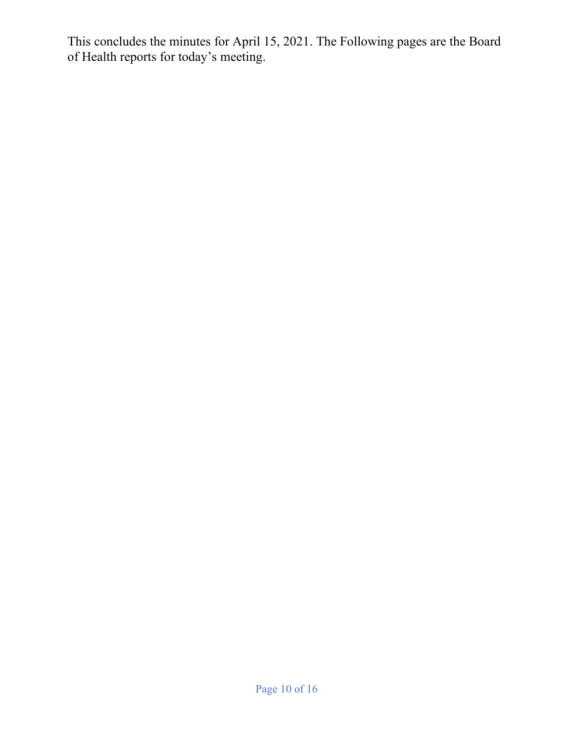This concludes the minutes for April 15, 2021. The Following pages are the Board of Health reports for today's meeting.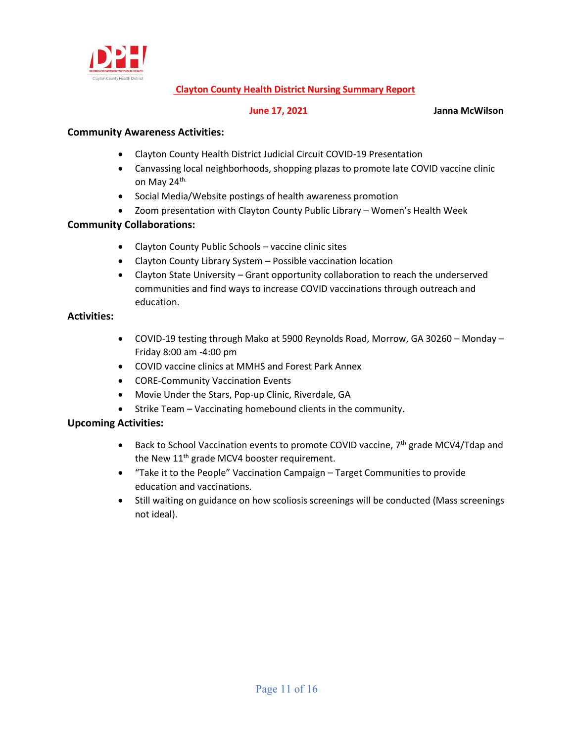

### **Clayton County Health District Nursing Summary Report**

**17, 2021** Janna McWilson

### **Community Awareness Activities:**

- Clayton County Health District Judicial Circuit COVID-19 Presentation
- Canvassing local neighborhoods, shopping plazas to promote late COVID vaccine clinic on May 24<sup>th.</sup>
- Social Media/Website postings of health awareness promotion
- Zoom presentation with Clayton County Public Library Women's Health Week

### **Community Collaborations:**

- Clayton County Public Schools vaccine clinic sites
- Clayton County Library System Possible vaccination location
- Clayton State University Grant opportunity collaboration to reach the underserved communities and find ways to increase COVID vaccinations through outreach and education.

### **Activities:**

- COVID-19 testing through Mako at 5900 Reynolds Road, Morrow, GA 30260 Monday Friday 8:00 am -4:00 pm
- COVID vaccine clinics at MMHS and Forest Park Annex
- CORE-Community Vaccination Events
- Movie Under the Stars, Pop-up Clinic, Riverdale, GA
- Strike Team Vaccinating homebound clients in the community.

# **Upcoming Activities:**

- Back to School Vaccination events to promote COVID vaccine, 7<sup>th</sup> grade MCV4/Tdap and the New 11<sup>th</sup> grade MCV4 booster requirement.
- "Take it to the People" Vaccination Campaign Target Communities to provide education and vaccinations.
- Still waiting on guidance on how scoliosis screenings will be conducted (Mass screenings not ideal).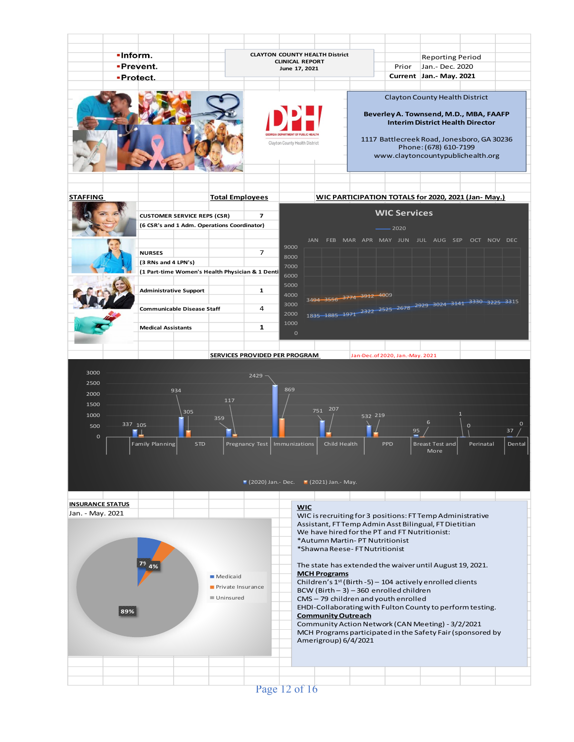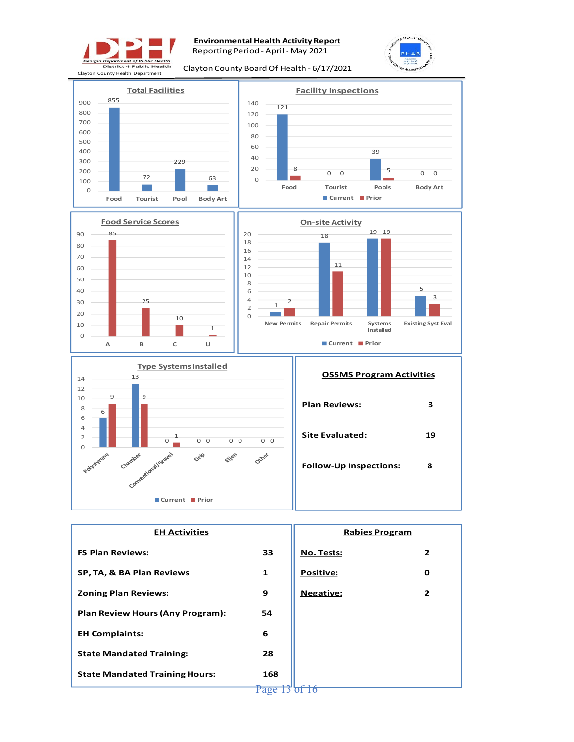

# **Environmental Health Activity Report**

Reporting Period - April - May 2021



Clayton County Board Of Health - 6/17/2021



Page 13<sup>'</sup> of 16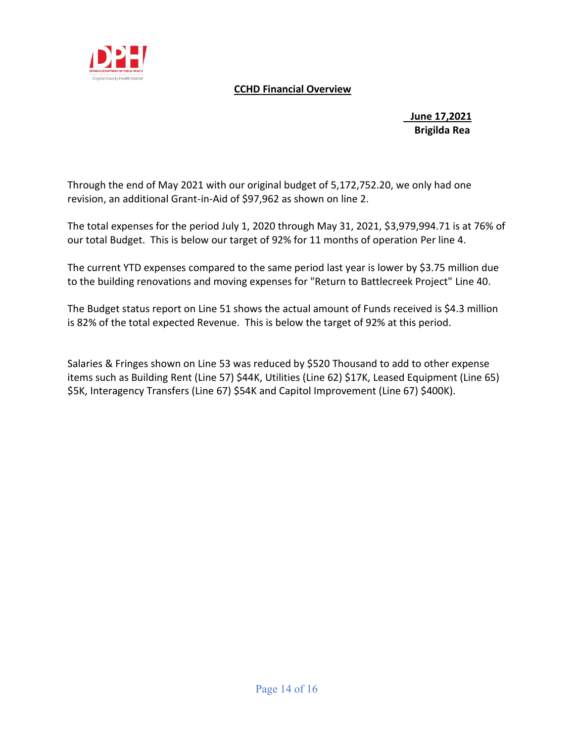

# **CCHD Financial Overview**

# **June 17,2021 Brigilda Rea**

Through the end of May 2021 with our original budget of 5,172,752.20, we only had one revision, an additional Grant-in-Aid of \$97,962 as shown on line 2.

The total expenses for the period July 1, 2020 through May 31, 2021, \$3,979,994.71 is at 76% of our total Budget. This is below our target of 92% for 11 months of operation Per line 4.

The current YTD expenses compared to the same period last year is lower by \$3.75 million due to the building renovations and moving expenses for "Return to Battlecreek Project" Line 40.

The Budget status report on Line 51 shows the actual amount of Funds received is \$4.3 million is 82% of the total expected Revenue. This is below the target of 92% at this period.

Salaries & Fringes shown on Line 53 was reduced by \$520 Thousand to add to other expense items such as Building Rent (Line 57) \$44K, Utilities (Line 62) \$17K, Leased Equipment (Line 65) \$5K, Interagency Transfers (Line 67) \$54K and Capitol Improvement (Line 67) \$400K).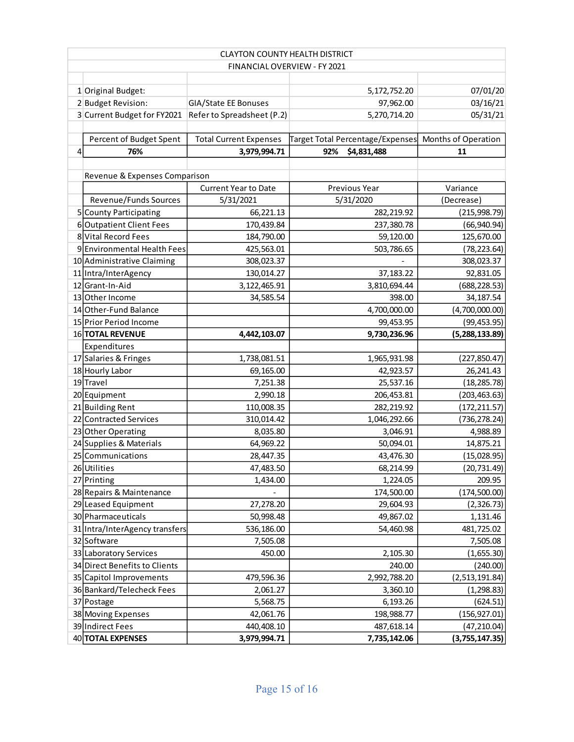|   | <b>CLAYTON COUNTY HEALTH DISTRICT</b> |                               |                                  |                     |  |  |  |  |  |
|---|---------------------------------------|-------------------------------|----------------------------------|---------------------|--|--|--|--|--|
|   | FINANCIAL OVERVIEW - FY 2021          |                               |                                  |                     |  |  |  |  |  |
|   |                                       |                               |                                  |                     |  |  |  |  |  |
|   | 1 Original Budget:                    |                               | 5,172,752.20                     | 07/01/20            |  |  |  |  |  |
|   | 2 Budget Revision:                    | GIA/State EE Bonuses          | 97,962.00                        | 03/16/21            |  |  |  |  |  |
|   | 3 Current Budget for FY2021           | Refer to Spreadsheet (P.2)    | 5,270,714.20                     | 05/31/21            |  |  |  |  |  |
|   |                                       |                               |                                  |                     |  |  |  |  |  |
|   | Percent of Budget Spent               | <b>Total Current Expenses</b> | Target Total Percentage/Expenses | Months of Operation |  |  |  |  |  |
| 4 | 76%                                   | 3,979,994.71                  | 92%<br>\$4,831,488               | 11                  |  |  |  |  |  |
|   |                                       |                               |                                  |                     |  |  |  |  |  |
|   | Revenue & Expenses Comparison         |                               |                                  |                     |  |  |  |  |  |
|   |                                       | <b>Current Year to Date</b>   | Previous Year                    | Variance            |  |  |  |  |  |
|   | Revenue/Funds Sources                 | 5/31/2021                     | 5/31/2020                        | (Decrease)          |  |  |  |  |  |
|   | 5 County Participating                | 66,221.13                     | 282,219.92                       | (215, 998.79)       |  |  |  |  |  |
|   | 6 Outpatient Client Fees              | 170,439.84                    | 237,380.78                       | (66, 940.94)        |  |  |  |  |  |
|   | 8 Vital Record Fees                   | 184,790.00                    | 59,120.00                        | 125,670.00          |  |  |  |  |  |
|   | 9 Environmental Health Fees           | 425,563.01                    | 503,786.65                       | (78, 223.64)        |  |  |  |  |  |
|   | 10 Administrative Claiming            | 308,023.37                    |                                  | 308,023.37          |  |  |  |  |  |
|   | 11 Intra/InterAgency                  | 130,014.27                    | 37,183.22                        | 92,831.05           |  |  |  |  |  |
|   | 12 Grant-In-Aid                       | 3, 122, 465.91                | 3,810,694.44                     | (688, 228.53)       |  |  |  |  |  |
|   | 13 Other Income                       | 34,585.54                     | 398.00                           | 34,187.54           |  |  |  |  |  |
|   | 14 Other-Fund Balance                 |                               | 4,700,000.00                     | (4,700,000.00)      |  |  |  |  |  |
|   | 15 Prior Period Income                |                               | 99,453.95                        | (99, 453.95)        |  |  |  |  |  |
|   | 16 TOTAL REVENUE                      | 9,730,236.96<br>4,442,103.07  |                                  | (5,288,133.89)      |  |  |  |  |  |
|   | Expenditures                          |                               |                                  |                     |  |  |  |  |  |
|   | 17 Salaries & Fringes                 | 1,738,081.51<br>1,965,931.98  |                                  | (227, 850.47)       |  |  |  |  |  |
|   | 18 Hourly Labor                       | 69,165.00                     | 42,923.57                        | 26,241.43           |  |  |  |  |  |
|   | 19Travel                              | 7,251.38                      | 25,537.16                        | (18, 285.78)        |  |  |  |  |  |
|   | 20 Equipment                          | 2,990.18                      | 206,453.81                       | (203, 463.63)       |  |  |  |  |  |
|   | 21 Building Rent                      | 110,008.35                    | 282,219.92                       | (172, 211.57)       |  |  |  |  |  |
|   | 22 Contracted Services                | 310,014.42                    | 1,046,292.66                     | (736, 278.24)       |  |  |  |  |  |
|   | 23 Other Operating                    | 8,035.80                      | 3,046.91                         | 4,988.89            |  |  |  |  |  |
|   | 24 Supplies & Materials               | 64,969.22                     | 50,094.01                        | 14,875.21           |  |  |  |  |  |
|   | 25 Communications                     | 28,447.35                     | 43,476.30                        | (15,028.95)         |  |  |  |  |  |
|   | 26 Utilities                          | 47,483.50                     | 68,214.99                        | (20, 731.49)        |  |  |  |  |  |
|   | 27 Printing                           | 1,434.00                      | 1,224.05                         | 209.95              |  |  |  |  |  |
|   | 28 Repairs & Maintenance              |                               | 174,500.00                       | (174, 500.00)       |  |  |  |  |  |
|   | 29 Leased Equipment                   | 27,278.20                     | 29,604.93                        | (2,326.73)          |  |  |  |  |  |
|   | 30 Pharmaceuticals                    | 50,998.48                     | 49,867.02                        | 1,131.46            |  |  |  |  |  |
|   | 31 Intra/InterAgency transfers        | 536,186.00<br>54,460.98       |                                  | 481,725.02          |  |  |  |  |  |
|   | 32 Software<br>7,505.08               |                               |                                  | 7,505.08            |  |  |  |  |  |
|   | 33 Laboratory Services<br>450.00      |                               | 2,105.30                         | (1,655.30)          |  |  |  |  |  |
|   | 34 Direct Benefits to Clients         |                               | 240.00                           | (240.00)            |  |  |  |  |  |
|   | 35 Capitol Improvements               | 479,596.36                    | 2,992,788.20                     | (2,513,191.84)      |  |  |  |  |  |
|   | 36 Bankard/Telecheck Fees             | 2,061.27                      | 3,360.10                         | (1, 298.83)         |  |  |  |  |  |
|   | 37 Postage                            | 5,568.75                      | 6,193.26                         | (624.51)            |  |  |  |  |  |
|   | 38 Moving Expenses                    | 42,061.76                     | 198,988.77                       | (156, 927.01)       |  |  |  |  |  |
|   | 39 Indirect Fees                      | 440,408.10                    | 487,618.14                       | (47, 210.04)        |  |  |  |  |  |
|   | 40 TOTAL EXPENSES                     | 3,979,994.71                  | 7,735,142.06                     | (3,755,147.35)      |  |  |  |  |  |